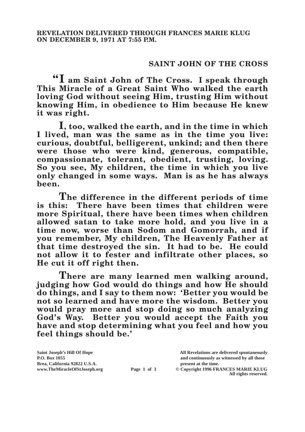## **SAINT JOHN OF THE CROSS**

**"I am Saint John of The Cross. I speak through This Miracle of a Great Saint Who walked the earth loving God without seeing Him, trusting Him without knowing Him, in obedience to Him because He knew it was right.**

**I, too, walked the earth, and in the time in which I lived, man was the same as in the time you live: curious, doubtful, belligerent, unkind; and then there were those who were kind, generous, compatible, compassionate, tolerant, obedient, trusting, loving. So you see, My children, the time in which you live only changed in some ways. Man is as he has always been.**

**The difference in the different periods of time**<br>is this: There have been times that children were There have been times that children were **more Spiritual, there have been times when children allowed satan to take more hold, and you live in a time now, worse than Sodom and Gomorrah, and if you remember, My children, The Heavenly Father at that time destroyed the sin. It had to be. He could not allow it to fester and infiltrate other places, so He cut it off right then.**

**There are many learned men walking around, judging how God would do things and how He should do things, and I say to them now: 'Better you would be not so learned and have more the wisdom. Better you would pray more and stop doing so much analyzing God's Way. Better you would accept the Faith you have and stop determining what you feel and how you feel things should be.'**

**Brea, California 92822 U.S.A. present at the time.**<br> **present at the time.**<br> **present at the time.**<br> **Page 1 of 3** © Copyright 1996 FR.

**Saint Joseph's Hill Of Hope All Revelations are delivered spontaneously P.O. Box 1055 and continuously as witnessed by all those** 

**Page 1 of 3** © Copyright 1996 FRANCES MARIE KLUG **All rights reserved.**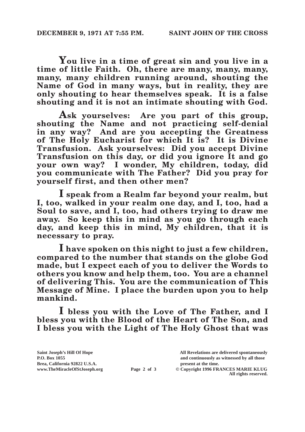**You live in a time of great sin and you live in a time of little Faith. Oh, there are many, many, many, many, many children running around, shouting the Name of God in many ways, but in reality, they are only shouting to hear themselves speak. It is a false shouting and it is not an intimate shouting with God.**

**Ask yourselves: Are you part of this group, shouting the Name and not practicing self-denial in any way? And are you accepting the Greatness of The Holy Eucharist for which It is? It is Divine Transfusion. Ask yourselves: Did you accept Divine Transfusion on this day, or did you ignore It and go your own way? I wonder, My children, today, did you communicate with The Father? Did you pray for yourself first, and then other men?**

**I speak from a Realm far beyond your realm, but I, too, walked in your realm one day, and I, too, had a Soul to save, and I, too, had others trying to draw me away. So keep this in mind as you go through each day, and keep this in mind, My children, that it is necessary to pray.**

**I have spoken on this night to just a few children, compared to the number that stands on the globe God made, but I expect each of you to deliver the Words to others you know and help them, too. You are a channel of delivering This. You are the communication of This Message of Mine. I place the burden upon you to help mankind.**

**I bless you with the Love of The Father, and I bless you with the Blood of the Heart of The Son, and I bless you with the Light of The Holy Ghost that was** 

| Saint Joseph's Hill Of Hope   |             | All Revelations are delivered spontaneously |
|-------------------------------|-------------|---------------------------------------------|
| P.O. Box 1055                 |             | and continuously as witnessed by all those  |
| Brea, California 92822 U.S.A. |             | present at the time.                        |
| www.TheMiracleOfStJoseph.org  | Page 2 of 3 | © Copyright 1996 FRANCES MARIE KLUG         |
|                               |             | All rights reserved.                        |